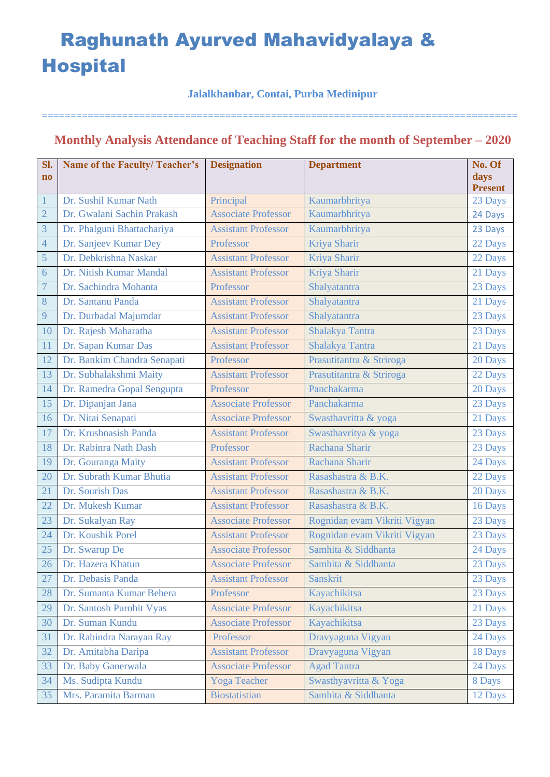### **Jalalkhanbar, Contai, Purba Medinipur**

===================================================================================

## **Monthly Analysis Attendance of Teaching Staff for the month of September – 2020**

| Sl.                    | <b>Name of the Faculty/Teacher's</b> | <b>Designation</b>         | <b>Department</b>            | No. Of         |
|------------------------|--------------------------------------|----------------------------|------------------------------|----------------|
| $\mathbf{n}\mathbf{o}$ |                                      |                            |                              | days           |
|                        |                                      |                            |                              | <b>Present</b> |
| $\mathbf 1$            | Dr. Sushil Kumar Nath                | Principal                  | Kaumarbhritya                | 23 Days        |
| $\overline{2}$         | Dr. Gwalani Sachin Prakash           | <b>Associate Professor</b> | Kaumarbhritya                | 24 Days        |
| 3                      | Dr. Phalguni Bhattachariya           | <b>Assistant Professor</b> | Kaumarbhritya                | 23 Days        |
| $\overline{4}$         | Dr. Sanjeev Kumar Dey                | Professor                  | Kriya Sharir                 | 22 Days        |
| 5                      | Dr. Debkrishna Naskar                | <b>Assistant Professor</b> | Kriya Sharir                 | 22 Days        |
| $\sqrt{6}$             | Dr. Nitish Kumar Mandal              | <b>Assistant Professor</b> | Kriya Sharir                 | 21 Days        |
| $\overline{7}$         | Dr. Sachindra Mohanta                | Professor                  | Shalyatantra                 | 23 Days        |
| 8                      | Dr. Santanu Panda                    | <b>Assistant Professor</b> | Shalyatantra                 | 21 Days        |
| 9                      | Dr. Durbadal Majumdar                | <b>Assistant Professor</b> | Shalyatantra                 | 23 Days        |
| 10                     | Dr. Rajesh Maharatha                 | <b>Assistant Professor</b> | Shalakya Tantra              | 23 Days        |
| 11                     | Dr. Sapan Kumar Das                  | <b>Assistant Professor</b> | Shalakya Tantra              | 21 Days        |
| 12                     | Dr. Bankim Chandra Senapati          | Professor                  | Prasutitantra & Striroga     | 20 Days        |
| 13                     | Dr. Subhalakshmi Maity               | <b>Assistant Professor</b> | Prasutitantra & Striroga     | 22 Days        |
| 14                     | Dr. Ramedra Gopal Sengupta           | Professor                  | Panchakarma                  | 20 Days        |
| 15                     | Dr. Dipanjan Jana                    | <b>Associate Professor</b> | Panchakarma                  | 23 Days        |
| 16                     | Dr. Nitai Senapati                   | <b>Associate Professor</b> | Swasthavritta & yoga         | 21 Days        |
| 17                     | Dr. Krushnasish Panda                | <b>Assistant Professor</b> | Swasthavritya & yoga         | 23 Days        |
| 18                     | Dr. Rabinra Nath Dash                | Professor                  | Rachana Sharir               | 23 Days        |
| 19                     | Dr. Gouranga Maity                   | <b>Assistant Professor</b> | Rachana Sharir               | 24 Days        |
| 20                     | Dr. Subrath Kumar Bhutia             | <b>Assistant Professor</b> | Rasashastra & B.K.           | 22 Days        |
| 21                     | Dr. Sourish Das                      | <b>Assistant Professor</b> | Rasashastra & B.K.           | 20 Days        |
| 22                     | Dr. Mukesh Kumar                     | <b>Assistant Professor</b> | Rasashastra & B.K.           | 16 Days        |
| 23                     | Dr. Sukalyan Ray                     | <b>Associate Professor</b> | Rognidan evam Vikriti Vigyan | 23 Days        |
| 24                     | Dr. Koushik Porel                    | <b>Assistant Professor</b> | Rognidan evam Vikriti Vigyan | 23 Days        |
| 25                     | Dr. Swarup De                        | <b>Associate Professor</b> | Samhita & Siddhanta          | 24 Days        |
| 26                     | Dr. Hazera Khatun                    | <b>Associate Professor</b> | Samhita & Siddhanta          | 23 Days        |
| 27                     | Dr. Debasis Panda                    | <b>Assistant Professor</b> | <b>Sanskrit</b>              | 23 Days        |
| 28                     | Dr. Sumanta Kumar Behera             | Professor                  | Kayachikitsa                 | 23 Days        |
| 29                     | Dr. Santosh Purohit Vyas             | <b>Associate Professor</b> | Kayachikitsa                 | 21 Days        |
| 30                     | Dr. Suman Kundu                      | <b>Associate Professor</b> | Kayachikitsa                 | 23 Days        |
| 31                     | Dr. Rabindra Narayan Ray             | Professor                  | Dravyaguna Vigyan            | 24 Days        |
| 32                     | Dr. Amitabha Daripa                  | <b>Assistant Professor</b> | Dravyaguna Vigyan            | 18 Days        |
| 33                     | Dr. Baby Ganerwala                   | <b>Associate Professor</b> | <b>Agad Tantra</b>           | 24 Days        |
| 34                     | Ms. Sudipta Kundu                    | <b>Yoga Teacher</b>        | Swasthyavritta & Yoga        | 8 Days         |
| 35                     | Mrs. Paramita Barman                 | <b>Biostatistian</b>       | Samhita & Siddhanta          | 12 Days        |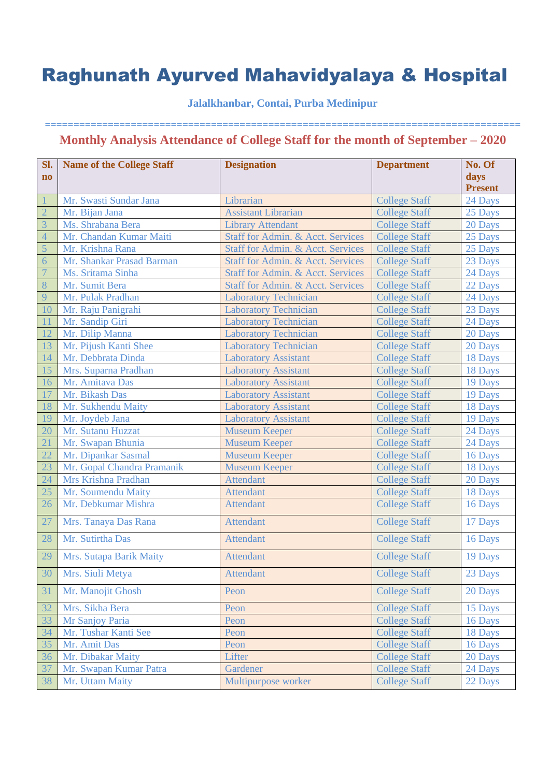## **Jalalkhanbar, Contai, Purba Medinipur**

| Sl.                    | <b>Name of the College Staff</b>      | <b>Designation</b>                | <b>Department</b>    | No. Of                    |
|------------------------|---------------------------------------|-----------------------------------|----------------------|---------------------------|
| $\mathbf{n}\mathbf{o}$ |                                       |                                   |                      | days                      |
|                        | Mr. Swasti Sundar Jana                | Librarian                         | <b>College Staff</b> | <b>Present</b><br>24 Days |
| $\overline{2}$         | Mr. Bijan Jana                        | <b>Assistant Librarian</b>        | <b>College Staff</b> | 25 Days                   |
| 3                      | Ms. Shrabana Bera                     | <b>Library Attendant</b>          | <b>College Staff</b> |                           |
| $\overline{4}$         | Mr. Chandan Kumar Maiti               | Staff for Admin. & Acct. Services | <b>College Staff</b> | 20 Days<br>25 Days        |
| 5                      | Mr. Krishna Rana                      | Staff for Admin. & Acct. Services | <b>College Staff</b> |                           |
| 6                      | Mr. Shankar Prasad Barman             | Staff for Admin. & Acct. Services | <b>College Staff</b> | 25 Days                   |
| $\overline{7}$         | Ms. Sritama Sinha                     | Staff for Admin. & Acct. Services | <b>College Staff</b> | 23 Days                   |
| 8                      | Mr. Sumit Bera                        | Staff for Admin. & Acct. Services | <b>College Staff</b> | 24 Days                   |
| 9                      | Mr. Pulak Pradhan                     | <b>Laboratory Technician</b>      | <b>College Staff</b> | 22 Days                   |
|                        |                                       |                                   |                      | 24 Days                   |
| 10                     | Mr. Raju Panigrahi<br>Mr. Sandip Giri | <b>Laboratory Technician</b>      | <b>College Staff</b> | 23 Days                   |
|                        |                                       | <b>Laboratory Technician</b>      | <b>College Staff</b> | 24 Days                   |
| 12                     | Mr. Dilip Manna                       | <b>Laboratory Technician</b>      | <b>College Staff</b> | 20 Days                   |
| 13                     | Mr. Pijush Kanti Shee                 | <b>Laboratory Technician</b>      | <b>College Staff</b> | 20 Days                   |
| 14                     | Mr. Debbrata Dinda                    | <b>Laboratory Assistant</b>       | <b>College Staff</b> | 18 Days                   |
| 15                     | Mrs. Suparna Pradhan                  | <b>Laboratory Assistant</b>       | <b>College Staff</b> | 18 Days                   |
| 16                     | Mr. Amitava Das                       | <b>Laboratory Assistant</b>       | <b>College Staff</b> | 19 Days                   |
| 17                     | Mr. Bikash Das                        | <b>Laboratory Assistant</b>       | <b>College Staff</b> | 19 Days                   |
| 18                     | Mr. Sukhendu Maity                    | <b>Laboratory Assistant</b>       | <b>College Staff</b> | 18 Days                   |
| 19                     | Mr. Joydeb Jana                       | <b>Laboratory Assistant</b>       | <b>College Staff</b> | 19 Days                   |
| 20                     | Mr. Sutanu Huzzat                     | <b>Museum Keeper</b>              | <b>College Staff</b> | 24 Days                   |
| 21                     | Mr. Swapan Bhunia                     | <b>Museum Keeper</b>              | <b>College Staff</b> | 24 Days                   |
| 22                     | Mr. Dipankar Sasmal                   | <b>Museum Keeper</b>              | <b>College Staff</b> | 16 Days                   |
| 23                     | Mr. Gopal Chandra Pramanik            | <b>Museum Keeper</b>              | <b>College Staff</b> | 18 Days                   |
| 24                     | Mrs Krishna Pradhan                   | <b>Attendant</b>                  | <b>College Staff</b> | 20 Days                   |
| 25                     | Mr. Soumendu Maity                    | <b>Attendant</b>                  | <b>College Staff</b> | 18 Days                   |
| 26                     | Mr. Debkumar Mishra                   | <b>Attendant</b>                  | <b>College Staff</b> | 16 Days                   |
| 27                     | Mrs. Tanaya Das Rana                  | <b>Attendant</b>                  | <b>College Staff</b> | 17 Days                   |
| 28                     | Mr. Sutirtha Das                      | <b>Attendant</b>                  | <b>College Staff</b> | 16 Days                   |
| 29                     | Mrs. Sutapa Barik Maity               | <b>Attendant</b>                  | <b>College Staff</b> | 19 Days                   |
| 30                     | Mrs. Siuli Metya                      | <b>Attendant</b>                  | <b>College Staff</b> | 23 Days                   |
| 31                     | Mr. Manojit Ghosh                     | Peon                              | <b>College Staff</b> | 20 Days                   |
| 32                     | Mrs. Sikha Bera                       | Peon                              | <b>College Staff</b> | 15 Days                   |
| 33                     | Mr Sanjoy Paria                       | Peon                              | <b>College Staff</b> | 16 Days                   |
| 34                     | Mr. Tushar Kanti See                  | Peon                              | <b>College Staff</b> | 18 Days                   |
| 35                     | Mr. Amit Das                          | Peon                              | <b>College Staff</b> | 16 Days                   |
| 36                     | Mr. Dibakar Maity                     | Lifter                            | <b>College Staff</b> | 20 Days                   |
| 37                     | Mr. Swapan Kumar Patra                | Gardener                          | <b>College Staff</b> | 24 Days                   |
| 38                     | Mr. Uttam Maity                       | Multipurpose worker               | <b>College Staff</b> | 22 Days                   |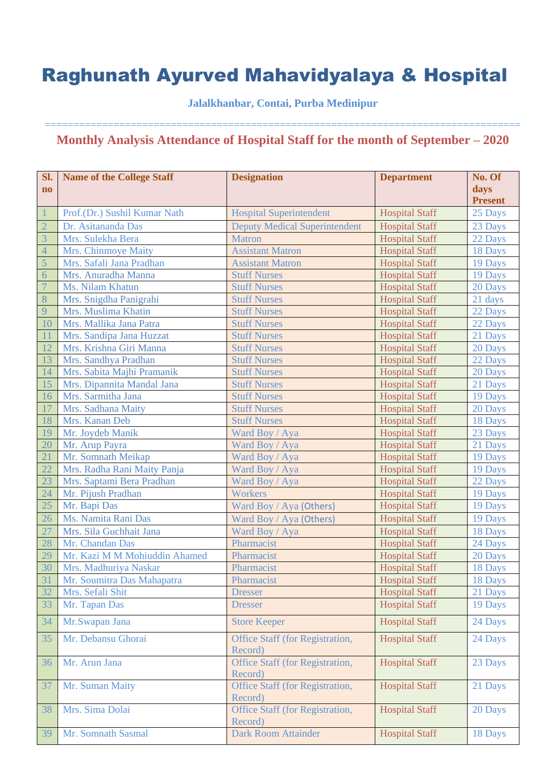**Jalalkhanbar, Contai, Purba Medinipur**

| Sl.<br>$\bf{no}$                 | <b>Name of the College Staff</b> | <b>Designation</b>                         | <b>Department</b>     | No. Of<br>days |
|----------------------------------|----------------------------------|--------------------------------------------|-----------------------|----------------|
|                                  |                                  |                                            |                       | <b>Present</b> |
| $\vert$ 1                        | Prof.(Dr.) Sushil Kumar Nath     | <b>Hospital Superintendent</b>             | <b>Hospital Staff</b> | 25 Days        |
| $\overline{2}$                   | Dr. Asitananda Das               | <b>Deputy Medical Superintendent</b>       | <b>Hospital Staff</b> | 23 Days        |
| $\overline{3}$                   | Mrs. Sulekha Bera                | <b>Matron</b>                              | <b>Hospital Staff</b> | 22 Days        |
| $\overline{4}$                   | Mrs. Chinmoye Maity              | <b>Assistant Matron</b>                    | <b>Hospital Staff</b> | 18 Days        |
| $\overline{5}$                   | Mrs. Safali Jana Pradhan         | <b>Assistant Matron</b>                    | <b>Hospital Staff</b> | 19 Days        |
| $\overline{6}$<br>$\overline{7}$ | Mrs. Anuradha Manna              | <b>Stuff Nurses</b>                        | <b>Hospital Staff</b> | 19 Days        |
|                                  | Ms. Nilam Khatun                 | <b>Stuff Nurses</b>                        | <b>Hospital Staff</b> | 20 Days        |
| 8                                | Mrs. Snigdha Panigrahi           | <b>Stuff Nurses</b>                        | <b>Hospital Staff</b> | 21 days        |
| 9                                | Mrs. Muslima Khatin              | <b>Stuff Nurses</b>                        | <b>Hospital Staff</b> | 22 Days        |
| 10                               | Mrs. Mallika Jana Patra          | <b>Stuff Nurses</b>                        | <b>Hospital Staff</b> | 22 Days        |
| <sup>11</sup>                    | Mrs. Sandipa Jana Huzzat         | <b>Stuff Nurses</b>                        | <b>Hospital Staff</b> | 21 Days        |
| 12                               | Mrs. Krishna Giri Manna          | <b>Stuff Nurses</b>                        | <b>Hospital Staff</b> | 20 Days        |
| 13                               | Mrs. Sandhya Pradhan             | <b>Stuff Nurses</b>                        | <b>Hospital Staff</b> | 22 Days        |
| 14                               | Mrs. Sabita Majhi Pramanik       | <b>Stuff Nurses</b>                        | <b>Hospital Staff</b> | 20 Days        |
| 15                               | Mrs. Dipannita Mandal Jana       | <b>Stuff Nurses</b>                        | <b>Hospital Staff</b> | 21 Days        |
| 16                               | Mrs. Sarmitha Jana               | <b>Stuff Nurses</b>                        | <b>Hospital Staff</b> | 19 Days        |
| 17                               | Mrs. Sadhana Maity               | <b>Stuff Nurses</b>                        | <b>Hospital Staff</b> | 20 Days        |
| 18                               | Mrs. Kanan Deb                   | <b>Stuff Nurses</b>                        | <b>Hospital Staff</b> | 18 Days        |
| 19                               | Mr. Joydeb Manik                 | Ward Boy / Aya                             | <b>Hospital Staff</b> | 23 Days        |
| 20                               | Mr. Arup Payra                   | Ward Boy / Aya                             | <b>Hospital Staff</b> | 21 Days        |
| 21                               | Mr. Somnath Meikap               | Ward Boy / Aya                             | <b>Hospital Staff</b> | 19 Days        |
| 22                               | Mrs. Radha Rani Maity Panja      | Ward Boy / Aya                             | <b>Hospital Staff</b> | 19 Days        |
| 23                               | Mrs. Saptami Bera Pradhan        | Ward Boy / Aya                             | <b>Hospital Staff</b> | 22 Days        |
| 24                               | Mr. Pijush Pradhan               | <b>Workers</b>                             | <b>Hospital Staff</b> | 19 Days        |
| 25                               | Mr. Bapi Das                     | Ward Boy / Aya (Others)                    | <b>Hospital Staff</b> | 19 Days        |
| 26                               | Ms. Namita Rani Das              | Ward Boy / Aya (Others)                    | <b>Hospital Staff</b> | 19 Days        |
| 27                               | Mrs. Sila Guchhait Jana          | Ward Boy / Aya                             | <b>Hospital Staff</b> | 18 Days        |
| 28                               | Mr. Chandan Das                  | Pharmacist                                 | <b>Hospital Staff</b> | 24 Days        |
| 29                               | Mr. Kazi M M Mohiuddin Ahamed    | Pharmacist                                 | <b>Hospital Staff</b> | 20 Days        |
| 30                               | Mrs. Madhuriya Naskar            | Pharmacist                                 | <b>Hospital Staff</b> | 18 Days        |
| 31                               | Mr. Soumitra Das Mahapatra       | Pharmacist                                 | <b>Hospital Staff</b> | 18 Days        |
| 32                               | Mrs. Sefali Shit                 | <b>Dresser</b>                             | <b>Hospital Staff</b> | 21 Days        |
| 33                               | Mr. Tapan Das                    | <b>Dresser</b>                             | <b>Hospital Staff</b> | 19 Days        |
| 34                               | Mr.Swapan Jana                   | <b>Store Keeper</b>                        | <b>Hospital Staff</b> | 24 Days        |
| 35                               | Mr. Debansu Ghorai               | Office Staff (for Registration,<br>Record) | <b>Hospital Staff</b> | 24 Days        |
| 36                               | Mr. Arun Jana                    | Office Staff (for Registration,<br>Record) | <b>Hospital Staff</b> | 23 Days        |
| 37                               | Mr. Suman Maity                  | Office Staff (for Registration,<br>Record) | <b>Hospital Staff</b> | 21 Days        |
| 38                               | Mrs. Sima Dolai                  | Office Staff (for Registration,<br>Record) | <b>Hospital Staff</b> | 20 Days        |
| 39                               | Mr. Somnath Sasmal               | <b>Dark Room Attainder</b>                 | <b>Hospital Staff</b> | 18 Days        |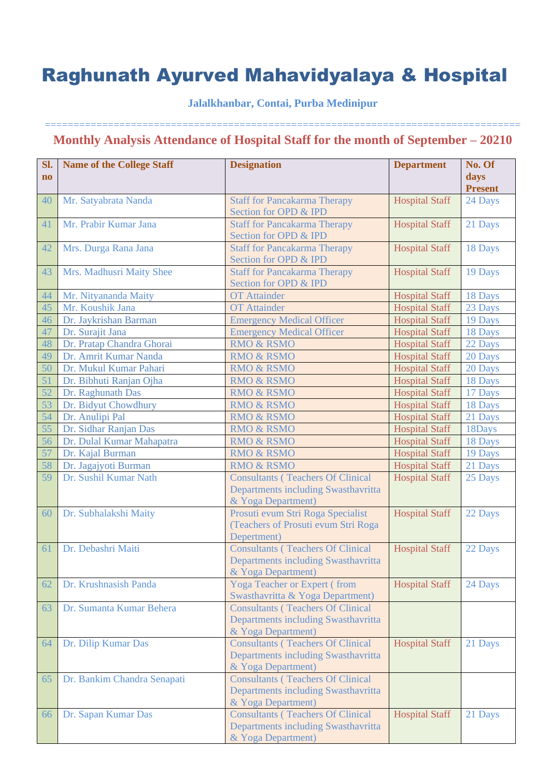## **Jalalkhanbar, Contai, Purba Medinipur**

| Sl.<br>$\mathbf{n}\mathbf{o}$ | <b>Name of the College Staff</b> | <b>Designation</b>                                                                                    | <b>Department</b>     | No. Of<br>days<br><b>Present</b> |
|-------------------------------|----------------------------------|-------------------------------------------------------------------------------------------------------|-----------------------|----------------------------------|
| 40                            | Mr. Satyabrata Nanda             | <b>Staff for Pancakarma Therapy</b><br>Section for OPD & IPD                                          | <b>Hospital Staff</b> | 24 Days                          |
| 41                            | Mr. Prabir Kumar Jana            | <b>Staff for Pancakarma Therapy</b><br>Section for OPD & IPD                                          | <b>Hospital Staff</b> | 21 Days                          |
| 42                            | Mrs. Durga Rana Jana             | <b>Staff for Pancakarma Therapy</b><br>Section for OPD & IPD                                          | <b>Hospital Staff</b> | 18 Days                          |
| 43                            | Mrs. Madhusri Maity Shee         | <b>Staff for Pancakarma Therapy</b><br>Section for OPD & IPD                                          | <b>Hospital Staff</b> | 19 Days                          |
| 44                            | Mr. Nityananda Maity             | <b>OT</b> Attainder                                                                                   | <b>Hospital Staff</b> | 18 Days                          |
| 45                            | Mr. Koushik Jana                 | <b>OT</b> Attainder                                                                                   | <b>Hospital Staff</b> | 23 Days                          |
| 46                            | Dr. Jaykrishan Barman            | <b>Emergency Medical Officer</b>                                                                      | <b>Hospital Staff</b> | 19 Days                          |
| 47                            | Dr. Surajit Jana                 | <b>Emergency Medical Officer</b>                                                                      | <b>Hospital Staff</b> | 18 Days                          |
| 48                            | Dr. Pratap Chandra Ghorai        | RMO & RSMO                                                                                            | <b>Hospital Staff</b> | 22 Days                          |
| 49                            | Dr. Amrit Kumar Nanda            | <b>RMO &amp; RSMO</b>                                                                                 | <b>Hospital Staff</b> | 20 Days                          |
| 50                            | Dr. Mukul Kumar Pahari           | <b>RMO &amp; RSMO</b>                                                                                 | <b>Hospital Staff</b> | 20 Days                          |
| 51                            | Dr. Bibhuti Ranjan Ojha          | <b>RMO &amp; RSMO</b>                                                                                 | <b>Hospital Staff</b> | 18 Days                          |
| 52                            | Dr. Raghunath Das                | <b>RMO &amp; RSMO</b>                                                                                 | <b>Hospital Staff</b> | 17 Days                          |
| 53                            | Dr. Bidyut Chowdhury             | <b>RMO &amp; RSMO</b>                                                                                 | <b>Hospital Staff</b> | 18 Days                          |
| 54                            | Dr. Anulipi Pal                  | <b>RMO &amp; RSMO</b>                                                                                 | <b>Hospital Staff</b> | 21 Days                          |
| 55                            | Dr. Sidhar Ranjan Das            | <b>RMO &amp; RSMO</b>                                                                                 | <b>Hospital Staff</b> | 18Days                           |
| 56                            | Dr. Dulal Kumar Mahapatra        | <b>RMO &amp; RSMO</b>                                                                                 | <b>Hospital Staff</b> | 18 Days                          |
| 57                            | Dr. Kajal Burman                 | <b>RMO &amp; RSMO</b>                                                                                 | <b>Hospital Staff</b> | 19 Days                          |
| 58                            | Dr. Jagajyoti Burman             | <b>RMO &amp; RSMO</b>                                                                                 | <b>Hospital Staff</b> | 21 Days                          |
| 59                            | Dr. Sushil Kumar Nath            | <b>Consultants (Teachers Of Clinical</b><br>Departments including Swasthavritta<br>& Yoga Department) | <b>Hospital Staff</b> | 25 Days                          |
| 60                            | Dr. Subhalakshi Maity            | Prosuti evum Stri Roga Specialist<br>(Teachers of Prosuti evum Stri Roga<br>Depertment)               | <b>Hospital Staff</b> | 22 Days                          |
| 61                            | Dr. Debashri Maiti               | <b>Consultants (Teachers Of Clinical</b><br>Departments including Swasthavritta<br>& Yoga Department) | <b>Hospital Staff</b> | 22 Days                          |
| 62                            | Dr. Krushnasish Panda            | Yoga Teacher or Expert (from<br>Swasthavritta & Yoga Department)                                      | <b>Hospital Staff</b> | 24 Days                          |
| 63                            | Dr. Sumanta Kumar Behera         | <b>Consultants (Teachers Of Clinical</b><br>Departments including Swasthavritta<br>& Yoga Department) |                       |                                  |
| 64                            | Dr. Dilip Kumar Das              | <b>Consultants (Teachers Of Clinical</b><br>Departments including Swasthavritta<br>& Yoga Department) | <b>Hospital Staff</b> | 21 Days                          |
| 65                            | Dr. Bankim Chandra Senapati      | <b>Consultants (Teachers Of Clinical</b><br>Departments including Swasthavritta<br>& Yoga Department) |                       |                                  |
| 66                            | Dr. Sapan Kumar Das              | <b>Consultants (Teachers Of Clinical</b><br>Departments including Swasthavritta<br>& Yoga Department) | <b>Hospital Staff</b> | 21 Days                          |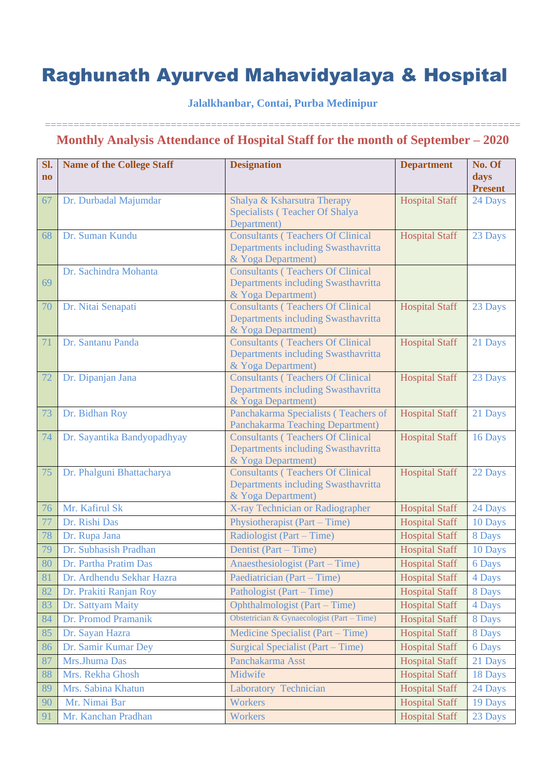## **Jalalkhanbar, Contai, Purba Medinipur**

| Sl.                    | <b>Name of the College Staff</b> | <b>Designation</b>                                                              | <b>Department</b>     | No. Of                 |
|------------------------|----------------------------------|---------------------------------------------------------------------------------|-----------------------|------------------------|
| $\mathbf{n}\mathbf{o}$ |                                  |                                                                                 |                       | days<br><b>Present</b> |
| 67                     | Dr. Durbadal Majumdar            | Shalya & Ksharsutra Therapy                                                     | <b>Hospital Staff</b> | 24 Days                |
|                        |                                  | Specialists (Teacher Of Shalya                                                  |                       |                        |
|                        | Dr. Suman Kundu                  | Department)                                                                     |                       |                        |
| 68                     |                                  | <b>Consultants (Teachers Of Clinical</b><br>Departments including Swasthavritta | <b>Hospital Staff</b> | 23 Days                |
|                        |                                  | & Yoga Department)                                                              |                       |                        |
|                        | Dr. Sachindra Mohanta            | <b>Consultants (Teachers Of Clinical</b>                                        |                       |                        |
| 69                     |                                  | Departments including Swasthavritta                                             |                       |                        |
|                        |                                  | & Yoga Department)                                                              |                       |                        |
| 70                     | Dr. Nitai Senapati               | <b>Consultants (Teachers Of Clinical</b><br>Departments including Swasthavritta | <b>Hospital Staff</b> | 23 Days                |
|                        |                                  | & Yoga Department)                                                              |                       |                        |
| 71                     | Dr. Santanu Panda                | <b>Consultants (Teachers Of Clinical</b>                                        | <b>Hospital Staff</b> | 21 Days                |
|                        |                                  | Departments including Swasthavritta                                             |                       |                        |
|                        |                                  | & Yoga Department)                                                              |                       |                        |
| 72                     | Dr. Dipanjan Jana                | <b>Consultants (Teachers Of Clinical</b>                                        | <b>Hospital Staff</b> | 23 Days                |
|                        |                                  | Departments including Swasthavritta<br>& Yoga Department)                       |                       |                        |
| 73                     | Dr. Bidhan Roy                   | Panchakarma Specialists (Teachers of                                            | <b>Hospital Staff</b> | 21 Days                |
|                        |                                  | Panchakarma Teaching Department)                                                |                       |                        |
| 74                     | Dr. Sayantika Bandyopadhyay      | <b>Consultants (Teachers Of Clinical</b>                                        | <b>Hospital Staff</b> | 16 Days                |
|                        |                                  | Departments including Swasthavritta                                             |                       |                        |
| 75                     | Dr. Phalguni Bhattacharya        | & Yoga Department)<br><b>Consultants (Teachers Of Clinical</b>                  | <b>Hospital Staff</b> | 22 Days                |
|                        |                                  | Departments including Swasthavritta                                             |                       |                        |
|                        |                                  | & Yoga Department)                                                              |                       |                        |
| 76                     | Mr. Kafirul Sk                   | X-ray Technician or Radiographer                                                | <b>Hospital Staff</b> | 24 Days                |
| 77                     | Dr. Rishi Das                    | Physiotherapist (Part – Time)                                                   | <b>Hospital Staff</b> | 10 Days                |
| 78                     | Dr. Rupa Jana                    | Radiologist (Part – Time)                                                       | <b>Hospital Staff</b> | 8 Days                 |
| 79                     | Dr. Subhasish Pradhan            | Dentist (Part – Time)                                                           | <b>Hospital Staff</b> | 10 Days                |
| 80                     | Dr. Partha Pratim Das            | Anaesthesiologist (Part – Time)                                                 | <b>Hospital Staff</b> | 6 Days                 |
| 81                     | Dr. Ardhendu Sekhar Hazra        | Paediatrician (Part – Time)                                                     | <b>Hospital Staff</b> | 4 Days                 |
| 82                     | Dr. Prakiti Ranjan Roy           | Pathologist (Part – Time)                                                       | <b>Hospital Staff</b> | 8 Days                 |
| 83                     | Dr. Sattyam Maity                | Ophthalmologist (Part – Time)                                                   | <b>Hospital Staff</b> | 4 Days                 |
| 84                     | Dr. Promod Pramanik              | Obstetrician & Gynaecologist (Part – Time)                                      | <b>Hospital Staff</b> | 8 Days                 |
| 85                     | Dr. Sayan Hazra                  | Medicine Specialist (Part – Time)                                               | <b>Hospital Staff</b> | 8 Days                 |
| 86                     | Dr. Samir Kumar Dey              | Surgical Specialist (Part – Time)                                               | <b>Hospital Staff</b> | 6 Days                 |
| 87                     | Mrs.Jhuma Das                    | Panchakarma Asst                                                                | <b>Hospital Staff</b> | 21 Days                |
| 88                     | Mrs. Rekha Ghosh                 | Midwife                                                                         | <b>Hospital Staff</b> | 18 Days                |
| 89                     | Mrs. Sabina Khatun               | Laboratory Technician                                                           | <b>Hospital Staff</b> | 24 Days                |
| 90                     | Mr. Nimai Bar                    | Workers                                                                         | <b>Hospital Staff</b> | 19 Days                |
| 91                     | Mr. Kanchan Pradhan              | Workers                                                                         | <b>Hospital Staff</b> | 23 Days                |